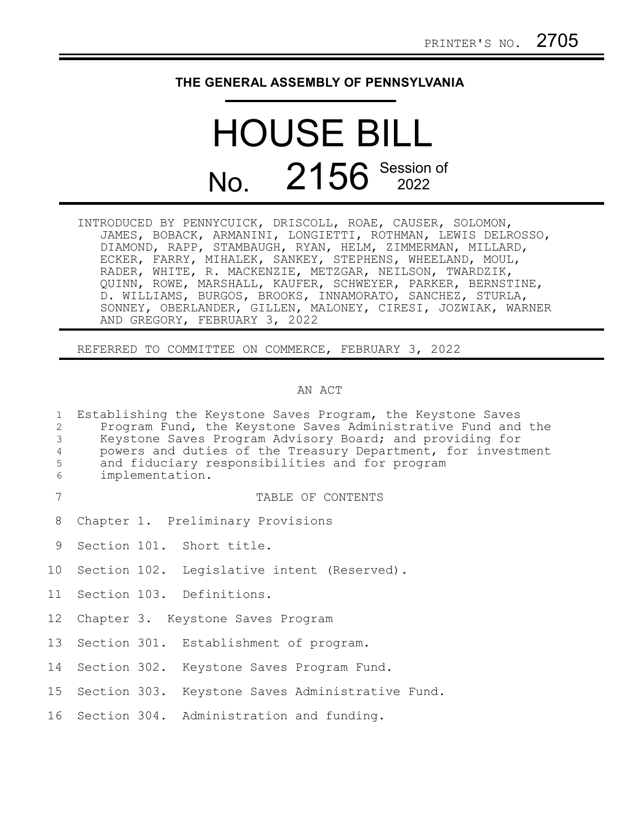## **THE GENERAL ASSEMBLY OF PENNSYLVANIA**

# HOUSE BILL No. 2156 Session of

INTRODUCED BY PENNYCUICK, DRISCOLL, ROAE, CAUSER, SOLOMON, JAMES, BOBACK, ARMANINI, LONGIETTI, ROTHMAN, LEWIS DELROSSO, DIAMOND, RAPP, STAMBAUGH, RYAN, HELM, ZIMMERMAN, MILLARD, ECKER, FARRY, MIHALEK, SANKEY, STEPHENS, WHEELAND, MOUL, RADER, WHITE, R. MACKENZIE, METZGAR, NEILSON, TWARDZIK, QUINN, ROWE, MARSHALL, KAUFER, SCHWEYER, PARKER, BERNSTINE, D. WILLIAMS, BURGOS, BROOKS, INNAMORATO, SANCHEZ, STURLA, SONNEY, OBERLANDER, GILLEN, MALONEY, CIRESI, JOZWIAK, WARNER AND GREGORY, FEBRUARY 3, 2022

REFERRED TO COMMITTEE ON COMMERCE, FEBRUARY 3, 2022

## AN ACT

| $\mathbf{1}$<br>$\overline{2}$<br>3<br>$\overline{4}$<br>5<br>6 | implementation. | Establishing the Keystone Saves Program, the Keystone Saves<br>Program Fund, the Keystone Saves Administrative Fund and the<br>Keystone Saves Program Advisory Board; and providing for<br>powers and duties of the Treasury Department, for investment<br>and fiduciary responsibilities and for program |
|-----------------------------------------------------------------|-----------------|-----------------------------------------------------------------------------------------------------------------------------------------------------------------------------------------------------------------------------------------------------------------------------------------------------------|
| 7                                                               |                 | TABLE OF CONTENTS                                                                                                                                                                                                                                                                                         |
| 8                                                               |                 | Chapter 1. Preliminary Provisions                                                                                                                                                                                                                                                                         |
| 9                                                               |                 | Section 101. Short title.                                                                                                                                                                                                                                                                                 |
|                                                                 |                 | 10 Section 102. Legislative intent (Reserved).                                                                                                                                                                                                                                                            |
|                                                                 |                 | 11 Section 103. Definitions.                                                                                                                                                                                                                                                                              |
| 12                                                              |                 | Chapter 3. Keystone Saves Program                                                                                                                                                                                                                                                                         |
| 13                                                              |                 | Section 301. Establishment of program.                                                                                                                                                                                                                                                                    |
| 14                                                              |                 | Section 302. Keystone Saves Program Fund.                                                                                                                                                                                                                                                                 |
|                                                                 |                 | 15 Section 303. Keystone Saves Administrative Fund.                                                                                                                                                                                                                                                       |
|                                                                 |                 | 16 Section 304. Administration and funding.                                                                                                                                                                                                                                                               |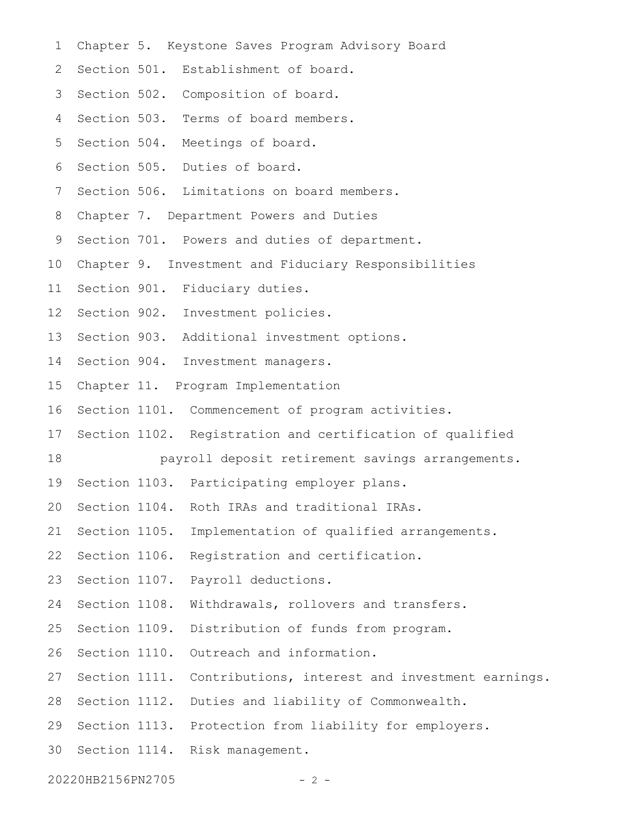- Chapter 5. Keystone Saves Program Advisory Board 1
- 2 Section 501. Establishment of board.
- 3 Section 502. Composition of board.
- Section 503. Terms of board members. 4
- Section 504. Meetings of board. 5
- Section 505. Duties of board. 6
- Section 506. Limitations on board members. 7
- Chapter 7. Department Powers and Duties 8
- Section 701. Powers and duties of department. 9
- Chapter 9. Investment and Fiduciary Responsibilities 10
- Section 901. Fiduciary duties. 11
- 12 Section 902. Investment policies.
- 13 Section 903. Additional investment options.
- 14 Section 904. Investment managers.
- Chapter 11. Program Implementation 15
- Section 1101. Commencement of program activities. 16
- 17 Section 1102. Registration and certification of qualified
- payroll deposit retirement savings arrangements. 18
- 19 Section 1103. Participating employer plans.
- 20 Section 1104. Roth IRAs and traditional IRAs.
- 21 Section 1105. Implementation of qualified arrangements.
- 22 Section 1106. Registration and certification.
- 23 Section 1107. Payroll deductions.
- Withdrawals, rollovers and transfers. 24 Section 1108.
- Distribution of funds from program. 25 Section 1109.
- Outreach and information. 26 Section 1110.
- 27 Section 1111. Contributions, interest and investment earnings.
- 28 Section 1112. Duties and liability of Commonwealth.
- 29 Section 1113. Protection from liability for employers.
- 30 Section 1114. Risk management.
- 20220HB2156PN2705 2 -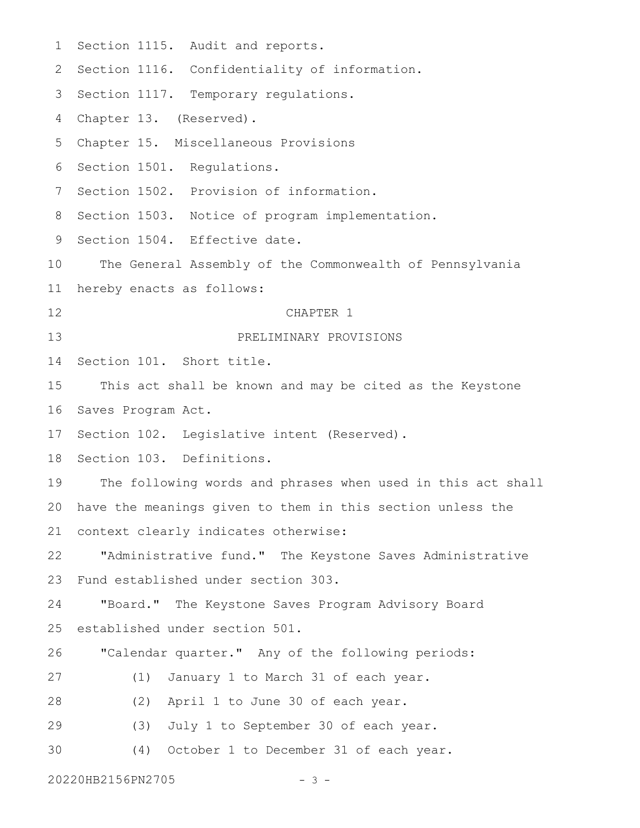Section 1115. Audit and reports. 2 Section 1116. Confidentiality of information. 3 Section 1117. Temporary regulations. Chapter 13. (Reserved). Chapter 15. Miscellaneous Provisions 5 6 Section 1501. Regulations. 7 Section 1502. Provision of information. 8 Section 1503. Notice of program implementation. 9 Section 1504. Effective date. The General Assembly of the Commonwealth of Pennsylvania hereby enacts as follows: CHAPTER 1 PRELIMINARY PROVISIONS Section 101. Short title. This act shall be known and may be cited as the Keystone Saves Program Act. 17 Section 102. Legislative intent (Reserved). 18 Section 103. Definitions. The following words and phrases when used in this act shall have the meanings given to them in this section unless the context clearly indicates otherwise: "Administrative fund." The Keystone Saves Administrative Fund established under section 303. "Board." The Keystone Saves Program Advisory Board established under section 501. "Calendar quarter." Any of the following periods: (1) January 1 to March 31 of each year. (2) April 1 to June 30 of each year. (3) July 1 to September 30 of each year. (4) October 1 to December 31 of each year. 20220HB2156PN2705 - 3 -1 4 10 11 12 13 14 15 16 19 20 21 22 23 24 25 26 27 28 29 30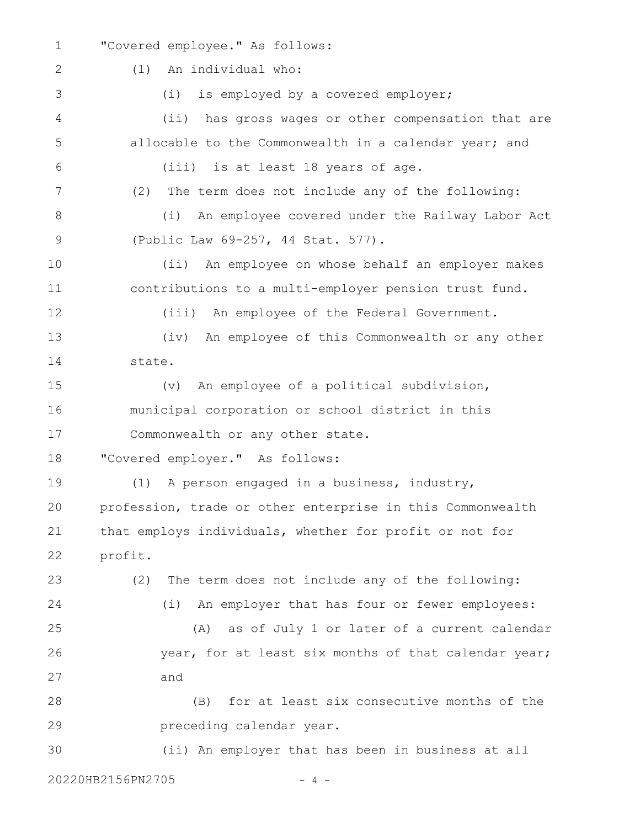"Covered employee." As follows: (1) An individual who: (i) is employed by a covered employer; (ii) has gross wages or other compensation that are allocable to the Commonwealth in a calendar year; and (iii) is at least 18 years of age. (2) The term does not include any of the following: (i) An employee covered under the Railway Labor Act (Public Law 69-257, 44 Stat. 577). (ii) An employee on whose behalf an employer makes contributions to a multi-employer pension trust fund. (iii) An employee of the Federal Government. (iv) An employee of this Commonwealth or any other state. (v) An employee of a political subdivision, municipal corporation or school district in this Commonwealth or any other state. "Covered employer." As follows: (1) A person engaged in a business, industry, profession, trade or other enterprise in this Commonwealth that employs individuals, whether for profit or not for profit. (2) The term does not include any of the following: (i) An employer that has four or fewer employees: (A) as of July 1 or later of a current calendar year, for at least six months of that calendar year; and (B) for at least six consecutive months of the preceding calendar year. 1 2 3 4 5 6 7 8 9 10 11 12 13 14 15 16 17 18 19 20 21 22 23 24 25 26 27 28 29

(ii) An employer that has been in business at all 30

20220HB2156PN2705 - 4 -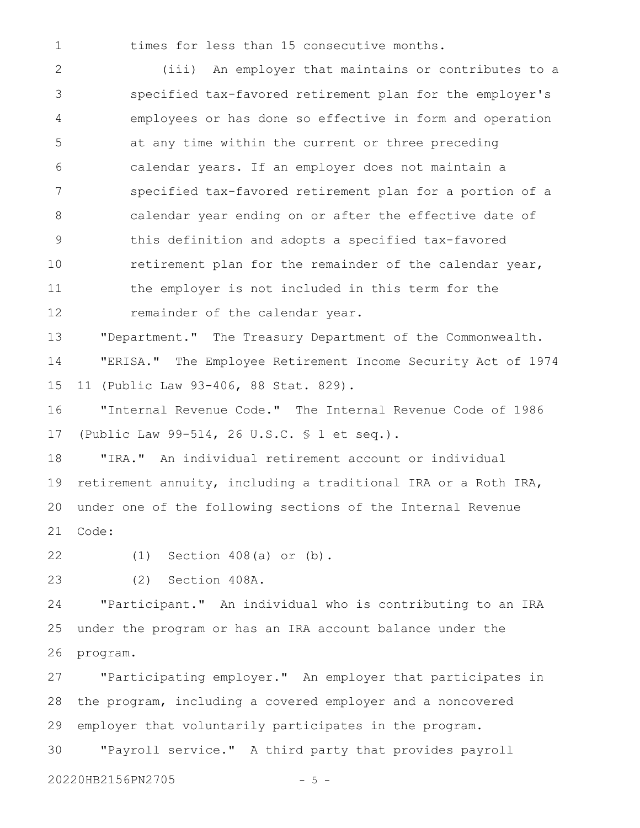1

times for less than 15 consecutive months.

(iii) An employer that maintains or contributes to a specified tax-favored retirement plan for the employer's employees or has done so effective in form and operation at any time within the current or three preceding calendar years. If an employer does not maintain a specified tax-favored retirement plan for a portion of a calendar year ending on or after the effective date of this definition and adopts a specified tax-favored retirement plan for the remainder of the calendar year, the employer is not included in this term for the remainder of the calendar year. 2 3 4 5 6 7 8 9 10 11 12

"Department." The Treasury Department of the Commonwealth. "ERISA." The Employee Retirement Income Security Act of 1974 11 (Public Law 93-406, 88 Stat. 829). 13 14 15

"Internal Revenue Code." The Internal Revenue Code of 1986 (Public Law 99-514, 26 U.S.C. § 1 et seq.). 16 17

"IRA." An individual retirement account or individual retirement annuity, including a traditional IRA or a Roth IRA, under one of the following sections of the Internal Revenue Code: 18 19 20 21

22

23

(2) Section 408A.

(1) Section 408(a) or (b).

"Participant." An individual who is contributing to an IRA under the program or has an IRA account balance under the program. 24 25 26

"Participating employer." An employer that participates in the program, including a covered employer and a noncovered employer that voluntarily participates in the program. "Payroll service." A third party that provides payroll 27 28 29 30

20220HB2156PN2705 - 5 -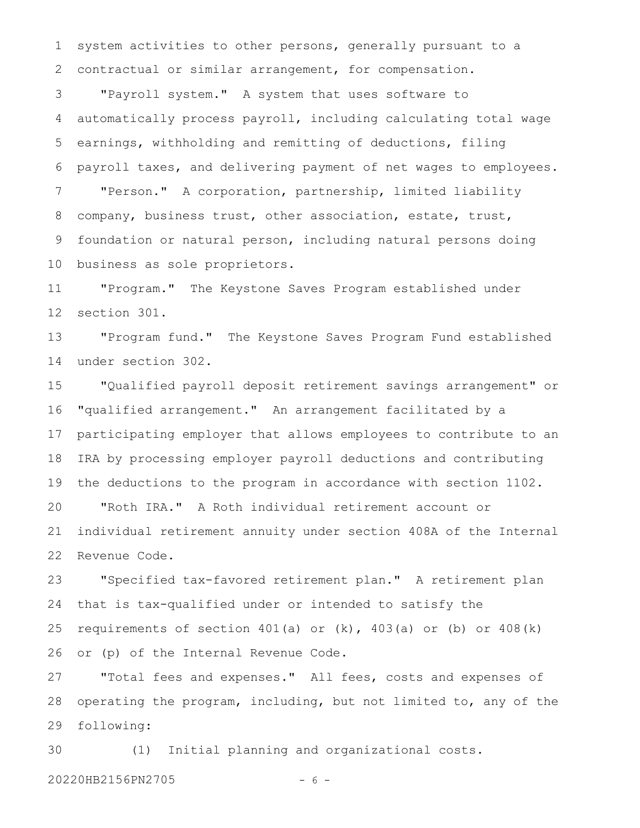system activities to other persons, generally pursuant to a contractual or similar arrangement, for compensation. 1 2

"Payroll system." A system that uses software to automatically process payroll, including calculating total wage earnings, withholding and remitting of deductions, filing payroll taxes, and delivering payment of net wages to employees. "Person." A corporation, partnership, limited liability company, business trust, other association, estate, trust, foundation or natural person, including natural persons doing business as sole proprietors. 3 4 5 6 7 8 9 10

"Program." The Keystone Saves Program established under section 301. 11 12

"Program fund." The Keystone Saves Program Fund established under section 302. 13 14

"Qualified payroll deposit retirement savings arrangement" or "qualified arrangement." An arrangement facilitated by a participating employer that allows employees to contribute to an IRA by processing employer payroll deductions and contributing the deductions to the program in accordance with section 1102. "Roth IRA." A Roth individual retirement account or individual retirement annuity under section 408A of the Internal Revenue Code. 15 16 17 18 19 20 21 22

"Specified tax-favored retirement plan." A retirement plan that is tax-qualified under or intended to satisfy the requirements of section  $401(a)$  or  $(k)$ ,  $403(a)$  or  $(b)$  or  $408(k)$ or (p) of the Internal Revenue Code. 23 24 25 26

"Total fees and expenses." All fees, costs and expenses of operating the program, including, but not limited to, any of the following: 27 28 29

(1) Initial planning and organizational costs. 30

20220HB2156PN2705 - 6 -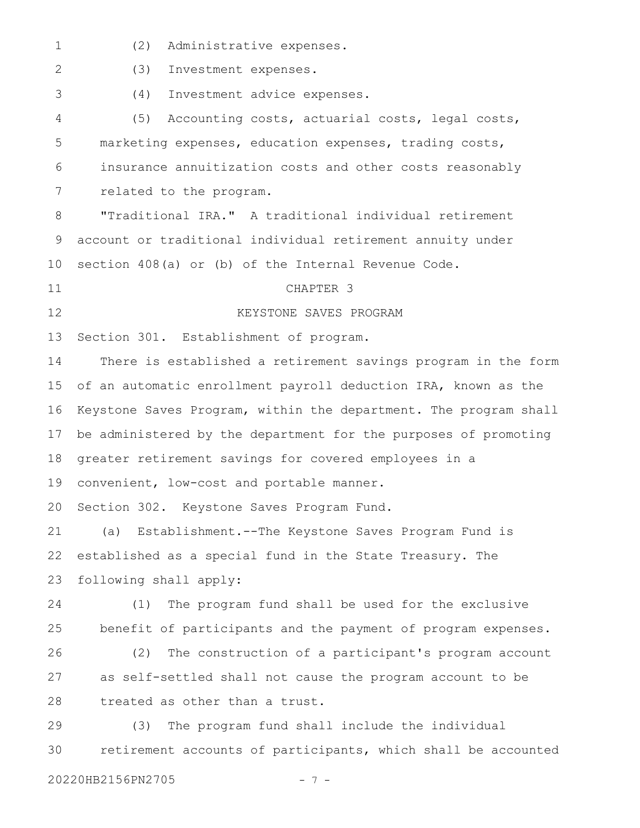(2) Administrative expenses. 1

(3) Investment expenses. 2

(4) Investment advice expenses.

(5) Accounting costs, actuarial costs, legal costs, marketing expenses, education expenses, trading costs, insurance annuitization costs and other costs reasonably related to the program. 4 5 6 7

"Traditional IRA." A traditional individual retirement account or traditional individual retirement annuity under section 408(a) or (b) of the Internal Revenue Code. 8 9 10

11

3

12

# CHAPTER 3

KEYSTONE SAVES PROGRAM

Section 301. Establishment of program. 13

There is established a retirement savings program in the form of an automatic enrollment payroll deduction IRA, known as the Keystone Saves Program, within the department. The program shall be administered by the department for the purposes of promoting greater retirement savings for covered employees in a 14 15 16 17 18

convenient, low-cost and portable manner. 19

Section 302. Keystone Saves Program Fund. 20

(a) Establishment.--The Keystone Saves Program Fund is established as a special fund in the State Treasury. The following shall apply: 21 22 23

(1) The program fund shall be used for the exclusive benefit of participants and the payment of program expenses. 24 25

(2) The construction of a participant's program account as self-settled shall not cause the program account to be treated as other than a trust. 26 27 28

(3) The program fund shall include the individual retirement accounts of participants, which shall be accounted 29 30

20220HB2156PN2705 - 7 -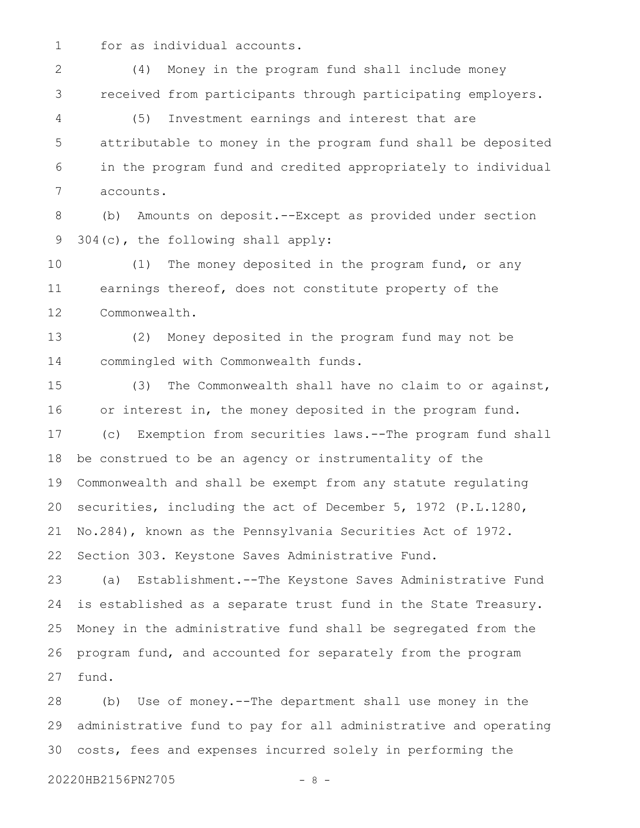for as individual accounts. 1

9

(4) Money in the program fund shall include money received from participants through participating employers. (5) Investment earnings and interest that are attributable to money in the program fund shall be deposited in the program fund and credited appropriately to individual accounts. (b) Amounts on deposit.--Except as provided under section 2 3 4 5 6 7 8

(1) The money deposited in the program fund, or any earnings thereof, does not constitute property of the Commonwealth. 10 11 12

304(c), the following shall apply:

(2) Money deposited in the program fund may not be commingled with Commonwealth funds. 13 14

(3) The Commonwealth shall have no claim to or against, or interest in, the money deposited in the program fund. (c) Exemption from securities laws.--The program fund shall be construed to be an agency or instrumentality of the Commonwealth and shall be exempt from any statute regulating securities, including the act of December 5, 1972 (P.L.1280, No.284), known as the Pennsylvania Securities Act of 1972. Section 303. Keystone Saves Administrative Fund. 15 16 17 18 19 20 21 22

(a) Establishment.--The Keystone Saves Administrative Fund is established as a separate trust fund in the State Treasury. Money in the administrative fund shall be segregated from the program fund, and accounted for separately from the program fund. 23 24 25 26 27

(b) Use of money.--The department shall use money in the administrative fund to pay for all administrative and operating costs, fees and expenses incurred solely in performing the 28 29 30

20220HB2156PN2705 - 8 -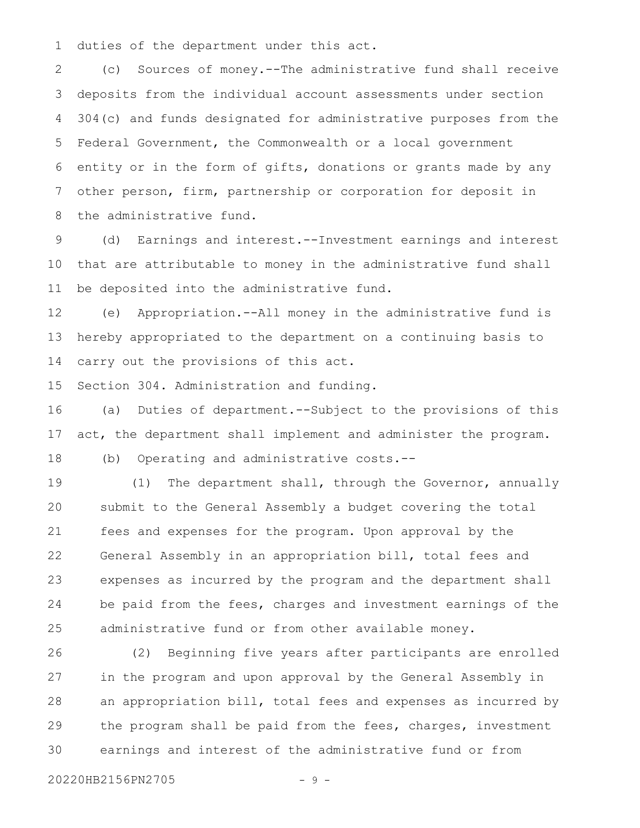duties of the department under this act. 1

(c) Sources of money.--The administrative fund shall receive deposits from the individual account assessments under section 304(c) and funds designated for administrative purposes from the Federal Government, the Commonwealth or a local government entity or in the form of gifts, donations or grants made by any other person, firm, partnership or corporation for deposit in the administrative fund. 2 3 4 5 6 7 8

(d) Earnings and interest.--Investment earnings and interest that are attributable to money in the administrative fund shall be deposited into the administrative fund. 9 10 11

(e) Appropriation.--All money in the administrative fund is hereby appropriated to the department on a continuing basis to carry out the provisions of this act. 12 13 14

Section 304. Administration and funding. 15

(a) Duties of department.--Subject to the provisions of this act, the department shall implement and administer the program. 16 17

(b) Operating and administrative costs.-- 18

(1) The department shall, through the Governor, annually submit to the General Assembly a budget covering the total fees and expenses for the program. Upon approval by the General Assembly in an appropriation bill, total fees and expenses as incurred by the program and the department shall be paid from the fees, charges and investment earnings of the administrative fund or from other available money. 19 20 21 22 23 24 25

(2) Beginning five years after participants are enrolled in the program and upon approval by the General Assembly in an appropriation bill, total fees and expenses as incurred by the program shall be paid from the fees, charges, investment earnings and interest of the administrative fund or from 26 27 28 29 30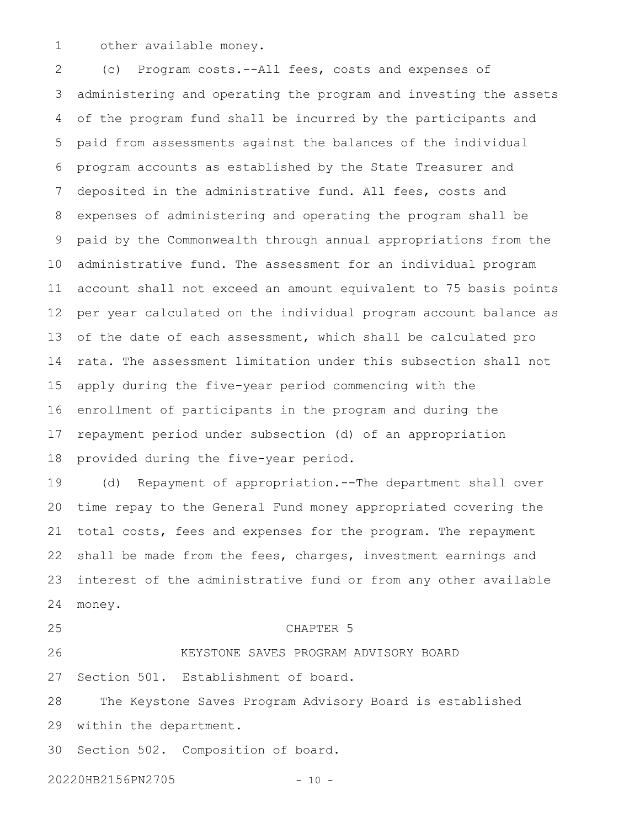other available money. 1

(c) Program costs.--All fees, costs and expenses of administering and operating the program and investing the assets of the program fund shall be incurred by the participants and paid from assessments against the balances of the individual program accounts as established by the State Treasurer and deposited in the administrative fund. All fees, costs and expenses of administering and operating the program shall be paid by the Commonwealth through annual appropriations from the administrative fund. The assessment for an individual program account shall not exceed an amount equivalent to 75 basis points per year calculated on the individual program account balance as of the date of each assessment, which shall be calculated pro rata*.* The assessment limitation under this subsection shall not apply during the five-year period commencing with the enrollment of participants in the program and during the repayment period under subsection (d) of an appropriation provided during the five-year period. 2 3 4 5 6 7 8 9 10 11 12 13 14 15 16 17 18

(d) Repayment of appropriation.--The department shall over time repay to the General Fund money appropriated covering the total costs, fees and expenses for the program. The repayment shall be made from the fees, charges, investment earnings and interest of the administrative fund or from any other available money. 19 20 21 22 23 24

25

## CHAPTER 5

KEYSTONE SAVES PROGRAM ADVISORY BOARD Section 501. Establishment of board. 26 27

The Keystone Saves Program Advisory Board is established within the department. 28 29

Section 502. Composition of board. 30

20220HB2156PN2705 - 10 -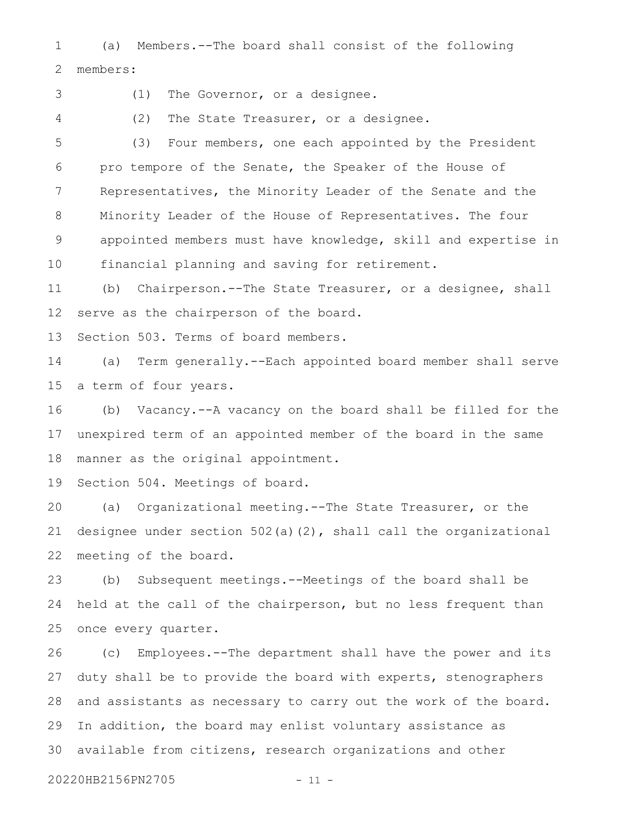(a) Members.--The board shall consist of the following members: 1 2

3

(1) The Governor, or a designee.

4

(2) The State Treasurer, or a designee.

(3) Four members, one each appointed by the President pro tempore of the Senate, the Speaker of the House of Representatives, the Minority Leader of the Senate and the Minority Leader of the House of Representatives. The four appointed members must have knowledge, skill and expertise in financial planning and saving for retirement. 5 6 7 8 9 10

(b) Chairperson.--The State Treasurer, or a designee, shall serve as the chairperson of the board. 11 12

Section 503. Terms of board members. 13

(a) Term generally.--Each appointed board member shall serve a term of four years. 14 15

(b) Vacancy.--A vacancy on the board shall be filled for the unexpired term of an appointed member of the board in the same manner as the original appointment. 16 17 18

Section 504. Meetings of board. 19

(a) Organizational meeting.--The State Treasurer, or the designee under section 502(a)(2), shall call the organizational meeting of the board. 20 21 22

(b) Subsequent meetings.--Meetings of the board shall be held at the call of the chairperson, but no less frequent than once every quarter. 23 24 25

(c) Employees.--The department shall have the power and its duty shall be to provide the board with experts, stenographers and assistants as necessary to carry out the work of the board. In addition, the board may enlist voluntary assistance as available from citizens, research organizations and other 26 27 28 29 30

20220HB2156PN2705 - 11 -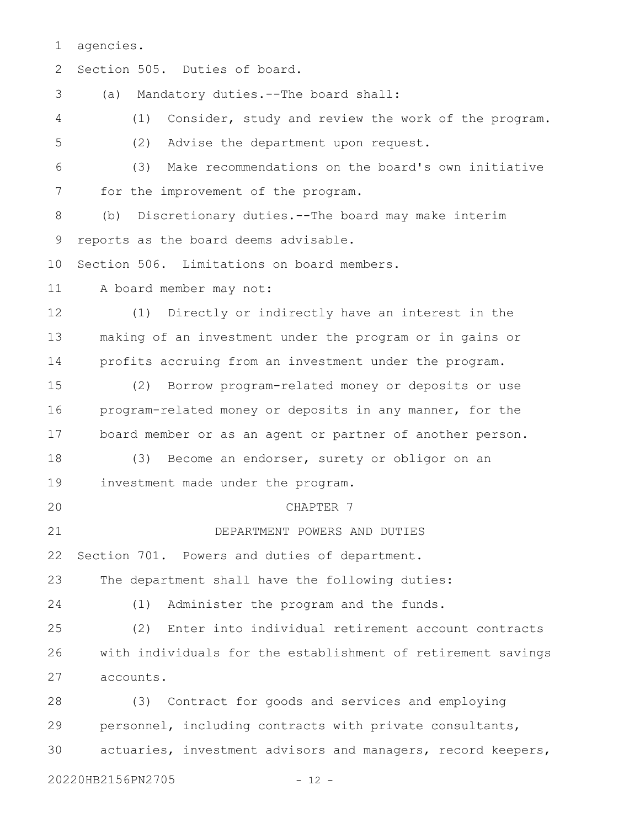agencies. 1

| 2  | Section 505. Duties of board.                                |
|----|--------------------------------------------------------------|
| 3  | Mandatory duties.--The board shall:<br>(a)                   |
| 4  | Consider, study and review the work of the program.<br>(1)   |
| 5  | Advise the department upon request.<br>(2)                   |
| 6  | Make recommendations on the board's own initiative<br>(3)    |
| 7  | for the improvement of the program.                          |
| 8  | Discretionary duties.--The board may make interim<br>(b)     |
| 9  | reports as the board deems advisable.                        |
| 10 | Section 506. Limitations on board members.                   |
| 11 | A board member may not:                                      |
| 12 | (1) Directly or indirectly have an interest in the           |
| 13 | making of an investment under the program or in gains or     |
| 14 | profits accruing from an investment under the program.       |
| 15 | (2) Borrow program-related money or deposits or use          |
| 16 | program-related money or deposits in any manner, for the     |
| 17 | board member or as an agent or partner of another person.    |
| 18 | Become an endorser, surety or obligor on an<br>(3)           |
| 19 | investment made under the program.                           |
| 20 | CHAPTER 7                                                    |
| 21 | DEPARTMENT POWERS AND DUTIES                                 |
| 22 | Section 701. Powers and duties of department.                |
| 23 | The department shall have the following duties:              |
| 24 | Administer the program and the funds.<br>(1)                 |
| 25 | Enter into individual retirement account contracts<br>(2)    |
| 26 | with individuals for the establishment of retirement savings |
| 27 | accounts.                                                    |
| 28 | (3) Contract for goods and services and employing            |
| 29 | personnel, including contracts with private consultants,     |
| 30 | actuaries, investment advisors and managers, record keepers, |
|    | 20220HB2156PN2705<br>$-12 -$                                 |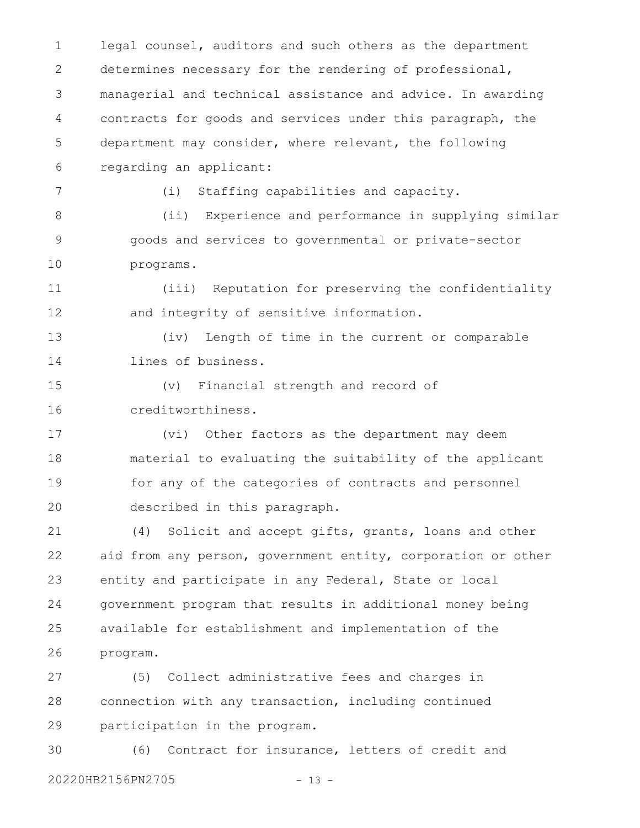legal counsel, auditors and such others as the department determines necessary for the rendering of professional, managerial and technical assistance and advice. In awarding contracts for goods and services under this paragraph, the department may consider, where relevant, the following regarding an applicant: (i) Staffing capabilities and capacity. (ii) Experience and performance in supplying similar goods and services to governmental or private-sector programs. (iii) Reputation for preserving the confidentiality and integrity of sensitive information. (iv) Length of time in the current or comparable lines of business. (v) Financial strength and record of creditworthiness. (vi) Other factors as the department may deem material to evaluating the suitability of the applicant for any of the categories of contracts and personnel described in this paragraph. (4) Solicit and accept gifts, grants, loans and other aid from any person, government entity, corporation or other entity and participate in any Federal, State or local government program that results in additional money being available for establishment and implementation of the program. (5) Collect administrative fees and charges in connection with any transaction, including continued 1 2 3 4 5 6 7 8 9 10 11 12 13 14 15 16 17 18 19 20 21 22 23 24 25 26 27 28

participation in the program. 29

(6) Contract for insurance, letters of credit and 20220HB2156PN2705 - 13 -30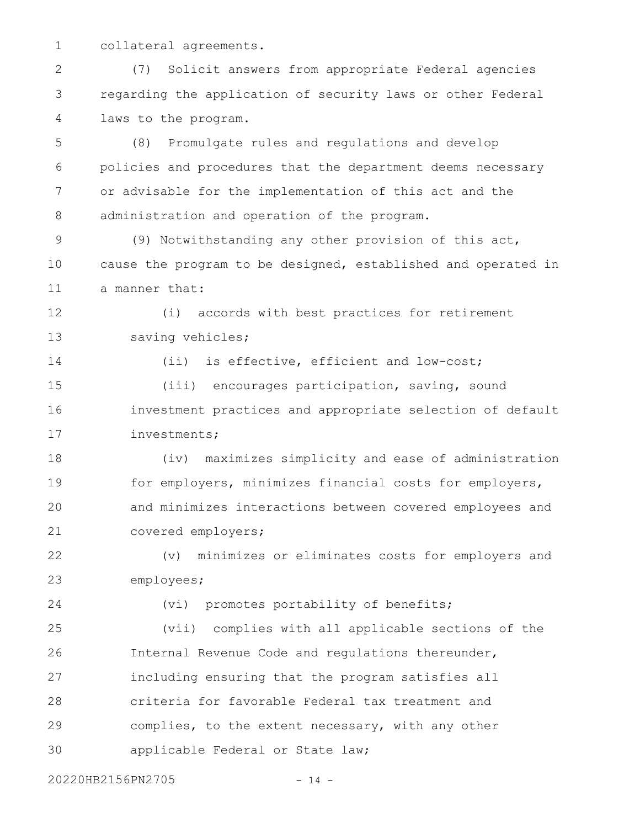collateral agreements. 1

(7) Solicit answers from appropriate Federal agencies regarding the application of security laws or other Federal laws to the program. 2 3 4

(8) Promulgate rules and regulations and develop policies and procedures that the department deems necessary or advisable for the implementation of this act and the administration and operation of the program. 5 6 7 8

(9) Notwithstanding any other provision of this act, cause the program to be designed, established and operated in a manner that: 9 10 11

(i) accords with best practices for retirement saving vehicles; 12 13

14

(ii) is effective, efficient and low-cost;

(iii) encourages participation, saving, sound investment practices and appropriate selection of default investments; 15 16 17

(iv) maximizes simplicity and ease of administration for employers, minimizes financial costs for employers, and minimizes interactions between covered employees and covered employers; 18 19 20 21

(v) minimizes or eliminates costs for employers and employees; 22 23

24

(vi) promotes portability of benefits;

(vii) complies with all applicable sections of the Internal Revenue Code and regulations thereunder, including ensuring that the program satisfies all criteria for favorable Federal tax treatment and complies, to the extent necessary, with any other applicable Federal or State law; 25 26 27 28 29 30

20220HB2156PN2705 - 14 -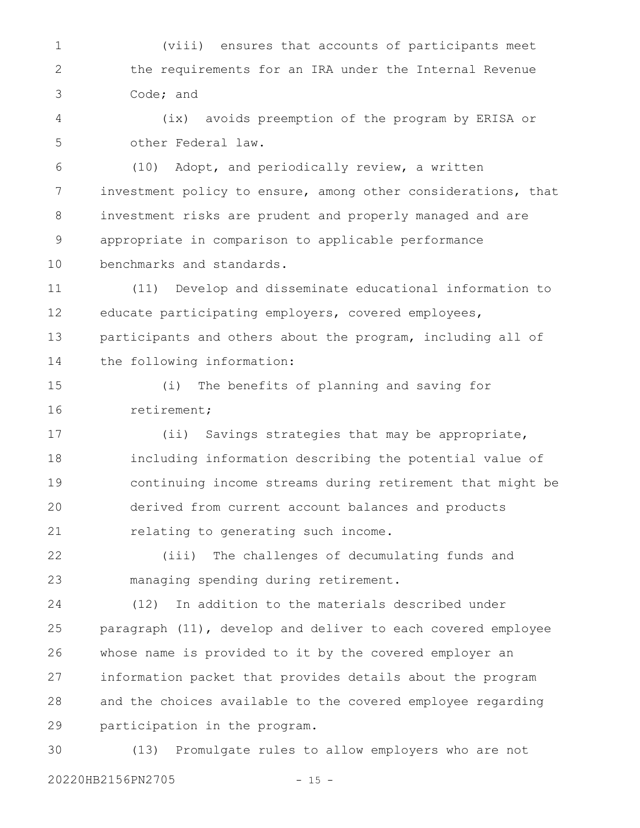(viii) ensures that accounts of participants meet the requirements for an IRA under the Internal Revenue Code; and 1 2 3

(ix) avoids preemption of the program by ERISA or other Federal law. 4 5

(10) Adopt, and periodically review, a written investment policy to ensure, among other considerations, that investment risks are prudent and properly managed and are appropriate in comparison to applicable performance benchmarks and standards. 6 7 8 9 10

(11) Develop and disseminate educational information to educate participating employers, covered employees, participants and others about the program, including all of the following information: 11 12 13 14

(i) The benefits of planning and saving for retirement; 15 16

(ii) Savings strategies that may be appropriate, including information describing the potential value of continuing income streams during retirement that might be derived from current account balances and products relating to generating such income. 17 18 19 20 21

(iii) The challenges of decumulating funds and managing spending during retirement. 22 23

(12) In addition to the materials described under paragraph (11), develop and deliver to each covered employee whose name is provided to it by the covered employer an information packet that provides details about the program and the choices available to the covered employee regarding participation in the program. 24 25 26 27 28 29

(13) Promulgate rules to allow employers who are not 20220HB2156PN2705 - 15 -30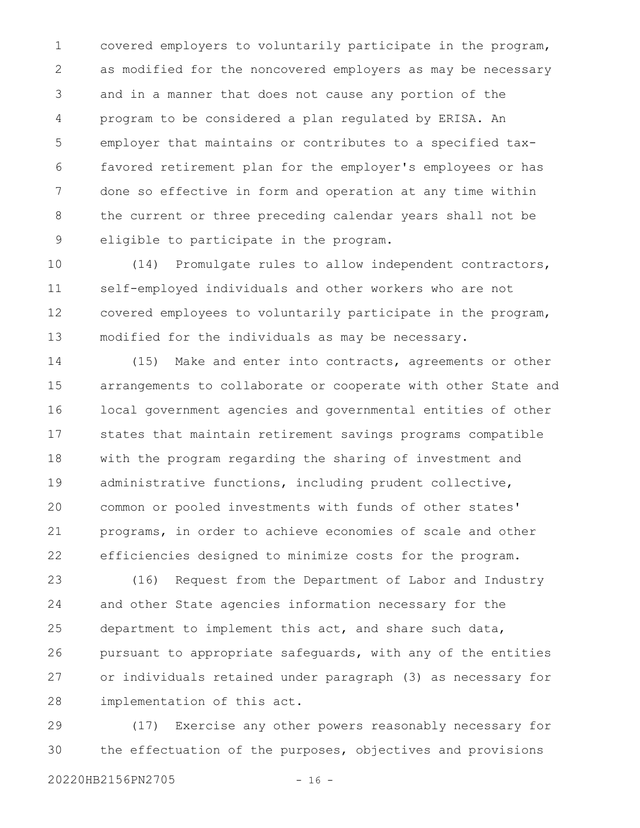covered employers to voluntarily participate in the program, as modified for the noncovered employers as may be necessary and in a manner that does not cause any portion of the program to be considered a plan regulated by ERISA. An employer that maintains or contributes to a specified taxfavored retirement plan for the employer's employees or has done so effective in form and operation at any time within the current or three preceding calendar years shall not be eligible to participate in the program. 1 2 3 4 5 6 7 8 9

(14) Promulgate rules to allow independent contractors, self-employed individuals and other workers who are not covered employees to voluntarily participate in the program, modified for the individuals as may be necessary. 10 11 12 13

(15) Make and enter into contracts, agreements or other arrangements to collaborate or cooperate with other State and local government agencies and governmental entities of other states that maintain retirement savings programs compatible with the program regarding the sharing of investment and administrative functions, including prudent collective, common or pooled investments with funds of other states' programs, in order to achieve economies of scale and other efficiencies designed to minimize costs for the program. 14 15 16 17 18 19 20 21 22

(16) Request from the Department of Labor and Industry and other State agencies information necessary for the department to implement this act, and share such data, pursuant to appropriate safeguards, with any of the entities or individuals retained under paragraph (3) as necessary for implementation of this act. 23 24 25 26 27 28

(17) Exercise any other powers reasonably necessary for the effectuation of the purposes, objectives and provisions 29 30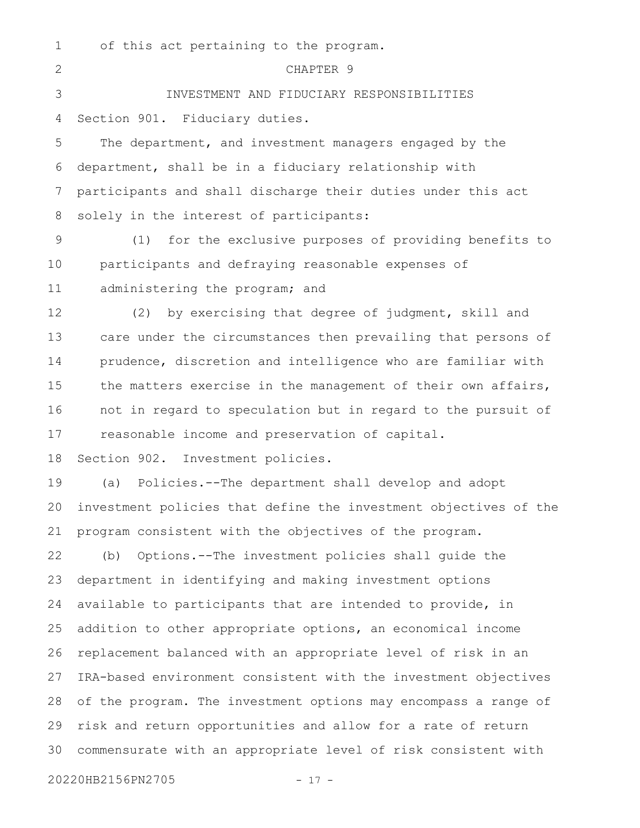| 1              | of this act pertaining to the program.                           |
|----------------|------------------------------------------------------------------|
| $\overline{2}$ | CHAPTER 9                                                        |
| 3              | INVESTMENT AND FIDUCIARY RESPONSIBILITIES                        |
| 4              | Section 901. Fiduciary duties.                                   |
| 5              | The department, and investment managers engaged by the           |
| 6              | department, shall be in a fiduciary relationship with            |
| 7              | participants and shall discharge their duties under this act     |
| 8              | solely in the interest of participants:                          |
| 9              | for the exclusive purposes of providing benefits to<br>(1)       |
| 10             | participants and defraying reasonable expenses of                |
| 11             | administering the program; and                                   |
| 12             | by exercising that degree of judgment, skill and<br>(2)          |
| 13             | care under the circumstances then prevailing that persons of     |
| 14             | prudence, discretion and intelligence who are familiar with      |
| 15             | the matters exercise in the management of their own affairs,     |
| 16             | not in regard to speculation but in regard to the pursuit of     |
| 17             | reasonable income and preservation of capital.                   |
| 18             | Section 902. Investment policies.                                |
| 19             | Policies.--The department shall develop and adopt<br>(a)         |
| 20             | investment policies that define the investment objectives of the |
| 21             | program consistent with the objectives of the program.           |
| 22             | Options.--The investment policies shall quide the<br>(b)         |
| 23             | department in identifying and making investment options          |
| 24             | available to participants that are intended to provide, in       |
| 25             | addition to other appropriate options, an economical income      |
| 26             | replacement balanced with an appropriate level of risk in an     |
| 27             | IRA-based environment consistent with the investment objectives  |
| 28             | of the program. The investment options may encompass a range of  |
| 29             | risk and return opportunities and allow for a rate of return     |
| 30             | commensurate with an appropriate level of risk consistent with   |
|                |                                                                  |

20220HB2156PN2705 - 17 -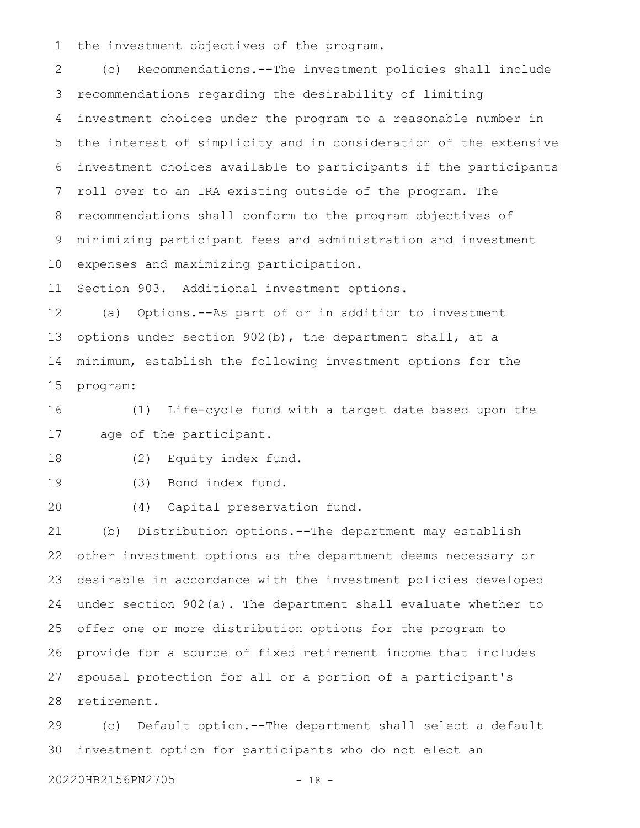the investment objectives of the program. 1

(c) Recommendations.--The investment policies shall include recommendations regarding the desirability of limiting investment choices under the program to a reasonable number in the interest of simplicity and in consideration of the extensive investment choices available to participants if the participants roll over to an IRA existing outside of the program. The recommendations shall conform to the program objectives of minimizing participant fees and administration and investment expenses and maximizing participation. 2 3 4 5 6 7 8 9 10

Section 903. Additional investment options. 11

(a) Options.--As part of or in addition to investment options under section 902(b), the department shall, at a minimum, establish the following investment options for the program: 12 13 14 15

(1) Life-cycle fund with a target date based upon the age of the participant. 16 17

(2) Equity index fund. 18

19

(3) Bond index fund.

(4) Capital preservation fund. 20

(b) Distribution options.--The department may establish other investment options as the department deems necessary or desirable in accordance with the investment policies developed under section 902(a). The department shall evaluate whether to offer one or more distribution options for the program to provide for a source of fixed retirement income that includes spousal protection for all or a portion of a participant's retirement. 21 22 23 24 25 26 27 28

(c) Default option.--The department shall select a default investment option for participants who do not elect an 29 30

20220HB2156PN2705 - 18 -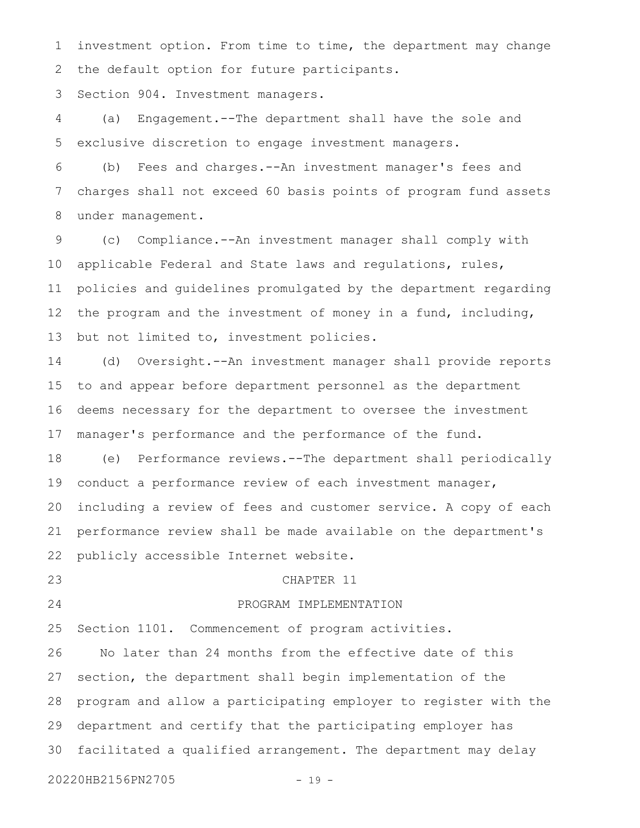investment option. From time to time, the department may change the default option for future participants. 1 2

Section 904. Investment managers. 3

(a) Engagement.--The department shall have the sole and exclusive discretion to engage investment managers. 4 5

(b) Fees and charges.--An investment manager's fees and charges shall not exceed 60 basis points of program fund assets under management. 6 7 8

(c) Compliance.--An investment manager shall comply with applicable Federal and State laws and regulations, rules, policies and guidelines promulgated by the department regarding the program and the investment of money in a fund, including, but not limited to, investment policies. 9 10 11 12 13

(d) Oversight.--An investment manager shall provide reports to and appear before department personnel as the department deems necessary for the department to oversee the investment manager's performance and the performance of the fund. 14 15 16 17

(e) Performance reviews.--The department shall periodically conduct a performance review of each investment manager, including a review of fees and customer service. A copy of each performance review shall be made available on the department's publicly accessible Internet website. 18 19 20 21 22

23

#### CHAPTER 11

24

## PROGRAM IMPLEMENTATION

Section 1101. Commencement of program activities. 25

No later than 24 months from the effective date of this section, the department shall begin implementation of the program and allow a participating employer to register with the department and certify that the participating employer has facilitated a qualified arrangement. The department may delay 26 27 28 29 30

20220HB2156PN2705 - 19 -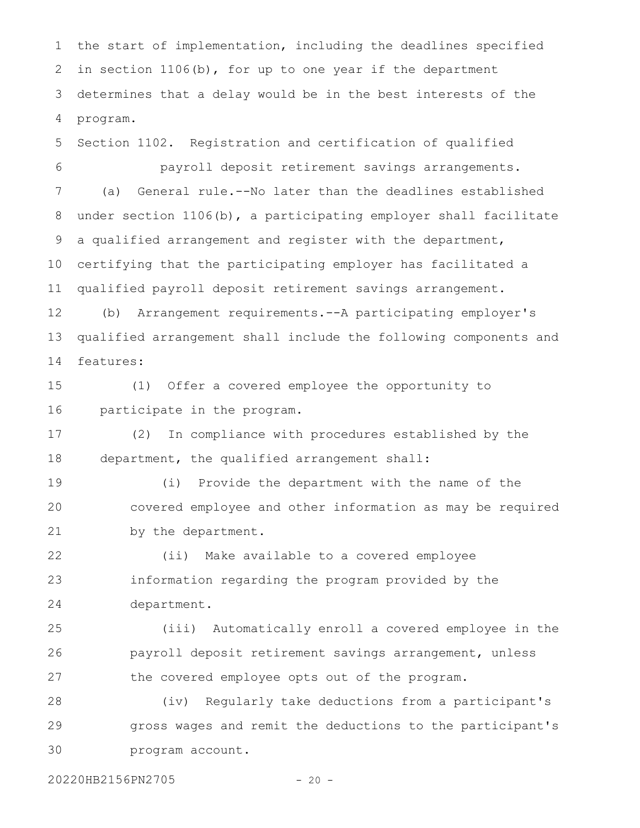the start of implementation, including the deadlines specified in section 1106(b), for up to one year if the department determines that a delay would be in the best interests of the program. 1 2 3 4

Section 1102. Registration and certification of qualified payroll deposit retirement savings arrangements. (a) General rule.--No later than the deadlines established under section 1106(b), a participating employer shall facilitate a qualified arrangement and register with the department, certifying that the participating employer has facilitated a qualified payroll deposit retirement savings arrangement. 5 6 7 8 9 10 11

(b) Arrangement requirements.--A participating employer's qualified arrangement shall include the following components and features: 12 13 14

(1) Offer a covered employee the opportunity to participate in the program. 15 16

(2) In compliance with procedures established by the department, the qualified arrangement shall: 17 18

(i) Provide the department with the name of the covered employee and other information as may be required by the department. 19 20 21

(ii) Make available to a covered employee information regarding the program provided by the department. 22 23 24

(iii) Automatically enroll a covered employee in the payroll deposit retirement savings arrangement, unless the covered employee opts out of the program. 25 26 27

(iv) Regularly take deductions from a participant's gross wages and remit the deductions to the participant's program account. 28 29 30

20220HB2156PN2705 - 20 -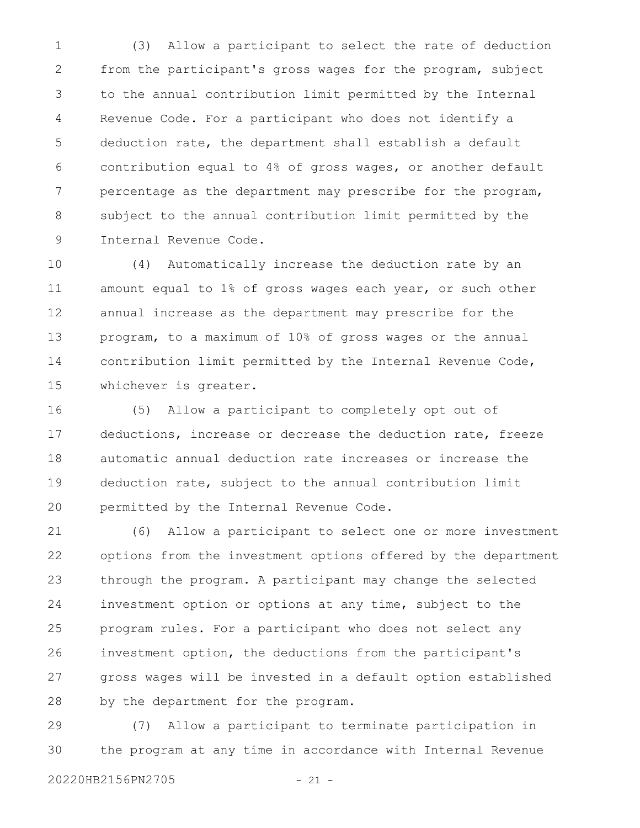(3) Allow a participant to select the rate of deduction from the participant's gross wages for the program, subject to the annual contribution limit permitted by the Internal Revenue Code. For a participant who does not identify a deduction rate, the department shall establish a default contribution equal to 4% of gross wages, or another default percentage as the department may prescribe for the program, subject to the annual contribution limit permitted by the Internal Revenue Code. 1 2 3 4 5 6 7 8 9

(4) Automatically increase the deduction rate by an amount equal to 1% of gross wages each year, or such other annual increase as the department may prescribe for the program, to a maximum of 10% of gross wages or the annual contribution limit permitted by the Internal Revenue Code, whichever is greater. 10 11 12 13 14 15

(5) Allow a participant to completely opt out of deductions, increase or decrease the deduction rate, freeze automatic annual deduction rate increases or increase the deduction rate, subject to the annual contribution limit permitted by the Internal Revenue Code. 16 17 18 19 20

(6) Allow a participant to select one or more investment options from the investment options offered by the department through the program. A participant may change the selected investment option or options at any time, subject to the program rules. For a participant who does not select any investment option, the deductions from the participant's gross wages will be invested in a default option established by the department for the program. 21 22 23 24 25 26 27 28

(7) Allow a participant to terminate participation in the program at any time in accordance with Internal Revenue 29 30

20220HB2156PN2705 - 21 -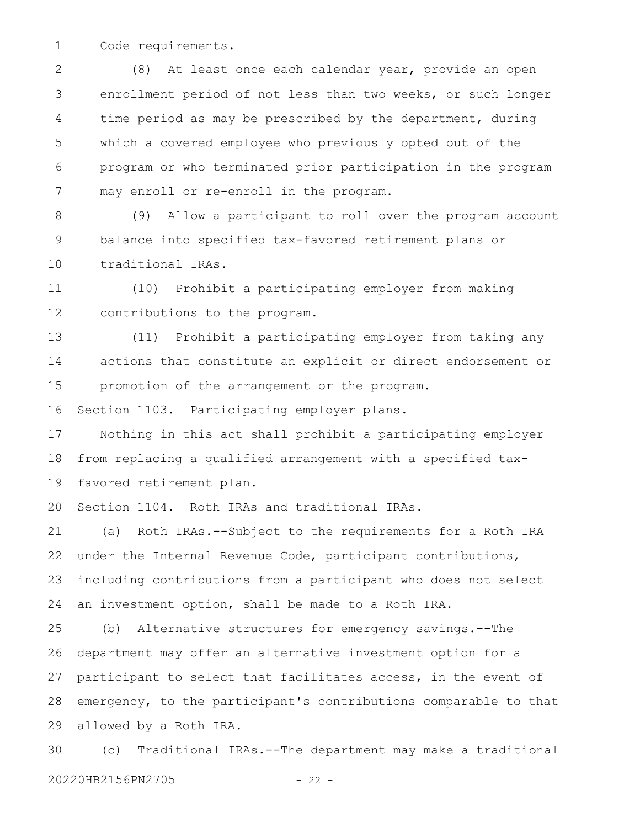Code requirements. 1

(8) At least once each calendar year, provide an open enrollment period of not less than two weeks, or such longer time period as may be prescribed by the department, during which a covered employee who previously opted out of the program or who terminated prior participation in the program may enroll or re-enroll in the program. 2 3 4 5 6 7

(9) Allow a participant to roll over the program account balance into specified tax-favored retirement plans or traditional IRAs. 8 9 10

(10) Prohibit a participating employer from making contributions to the program. 11 12

(11) Prohibit a participating employer from taking any actions that constitute an explicit or direct endorsement or promotion of the arrangement or the program. 13 14 15

Section 1103. Participating employer plans. 16

Nothing in this act shall prohibit a participating employer from replacing a qualified arrangement with a specified taxfavored retirement plan. 17 18 19

Section 1104. Roth IRAs and traditional IRAs. 20

(a) Roth IRAs.--Subject to the requirements for a Roth IRA under the Internal Revenue Code, participant contributions, including contributions from a participant who does not select an investment option, shall be made to a Roth IRA. 21 22 23 24

(b) Alternative structures for emergency savings.--The department may offer an alternative investment option for a participant to select that facilitates access, in the event of emergency, to the participant's contributions comparable to that allowed by a Roth IRA. 25 26 27 28 29

(c) Traditional IRAs.--The department may make a traditional 20220HB2156PN2705 - 22 -30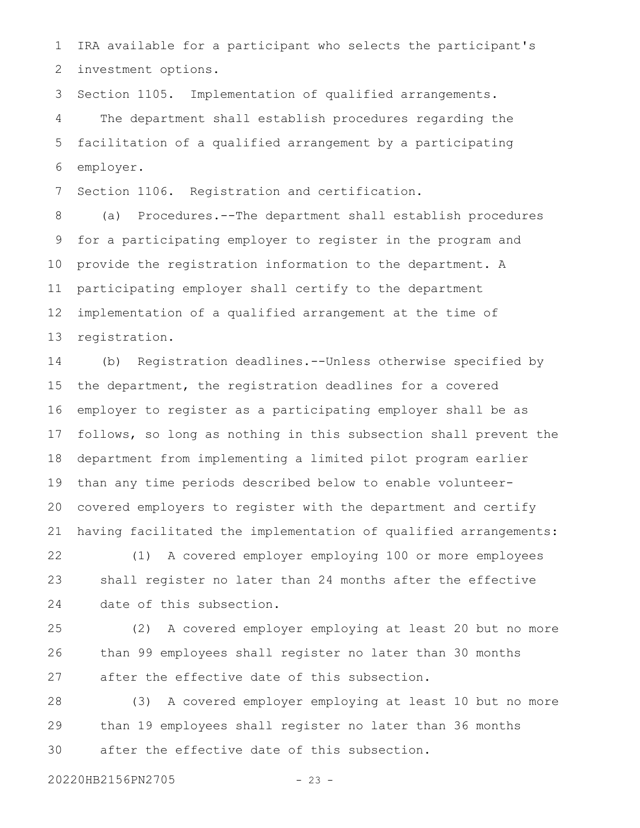IRA available for a participant who selects the participant's investment options. 1 2

Section 1105. Implementation of qualified arrangements. The department shall establish procedures regarding the facilitation of a qualified arrangement by a participating employer. 3 4 5 6

Section 1106. Registration and certification. 7

(a) Procedures.--The department shall establish procedures for a participating employer to register in the program and provide the registration information to the department. A participating employer shall certify to the department implementation of a qualified arrangement at the time of registration. 8 9 10 11 12 13

(b) Registration deadlines.--Unless otherwise specified by the department, the registration deadlines for a covered employer to register as a participating employer shall be as follows, so long as nothing in this subsection shall prevent the department from implementing a limited pilot program earlier than any time periods described below to enable volunteercovered employers to register with the department and certify having facilitated the implementation of qualified arrangements: 14 15 16 17 18 19 20 21

(1) A covered employer employing 100 or more employees shall register no later than 24 months after the effective date of this subsection. 22 23 24

(2) A covered employer employing at least 20 but no more than 99 employees shall register no later than 30 months after the effective date of this subsection. 25 26 27

(3) A covered employer employing at least 10 but no more than 19 employees shall register no later than 36 months after the effective date of this subsection. 28 29 30

20220HB2156PN2705 - 23 -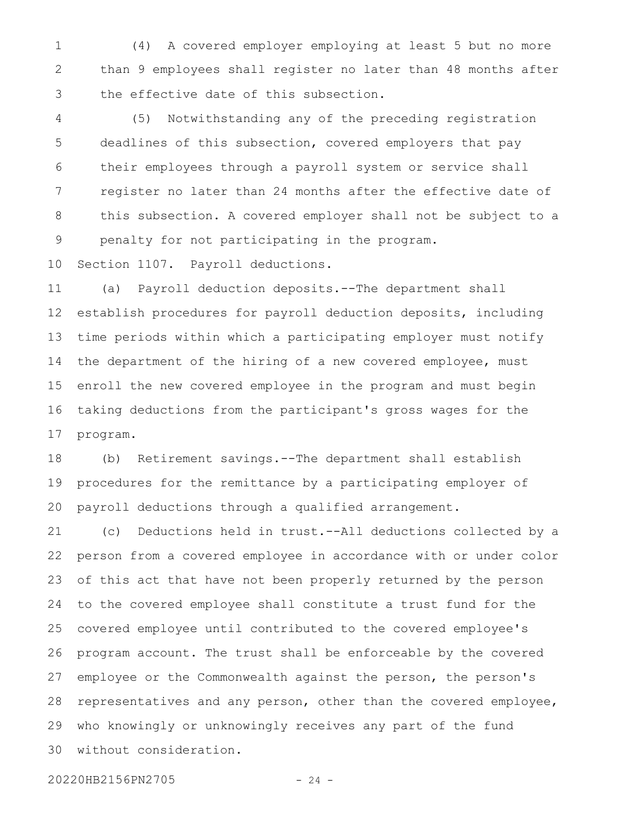(4) A covered employer employing at least 5 but no more than 9 employees shall register no later than 48 months after the effective date of this subsection. 1 2 3

(5) Notwithstanding any of the preceding registration deadlines of this subsection, covered employers that pay their employees through a payroll system or service shall register no later than 24 months after the effective date of this subsection. A covered employer shall not be subject to a penalty for not participating in the program. 4 5 6 7 8 9

Section 1107. Payroll deductions. 10

(a) Payroll deduction deposits.--The department shall establish procedures for payroll deduction deposits, including time periods within which a participating employer must notify the department of the hiring of a new covered employee, must enroll the new covered employee in the program and must begin taking deductions from the participant's gross wages for the program. 11 12 13 14 15 16 17

(b) Retirement savings.--The department shall establish procedures for the remittance by a participating employer of payroll deductions through a qualified arrangement. 18 19 20

(c) Deductions held in trust.--All deductions collected by a person from a covered employee in accordance with or under color of this act that have not been properly returned by the person to the covered employee shall constitute a trust fund for the covered employee until contributed to the covered employee's program account. The trust shall be enforceable by the covered employee or the Commonwealth against the person, the person's representatives and any person, other than the covered employee, who knowingly or unknowingly receives any part of the fund without consideration. 21 22 23 24 25 26 27 28 29 30

20220HB2156PN2705 - 24 -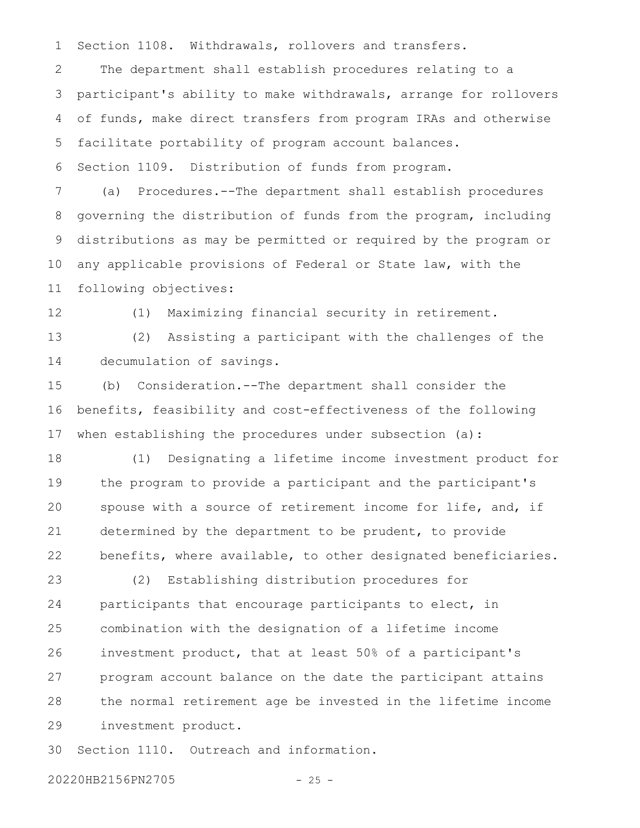Section 1108. Withdrawals, rollovers and transfers. 1

The department shall establish procedures relating to a participant's ability to make withdrawals, arrange for rollovers of funds, make direct transfers from program IRAs and otherwise facilitate portability of program account balances. 2 3 4 5

Section 1109. Distribution of funds from program. 6

(a) Procedures.--The department shall establish procedures governing the distribution of funds from the program, including distributions as may be permitted or required by the program or any applicable provisions of Federal or State law, with the following objectives: 7 8 9 10 11

12

(1) Maximizing financial security in retirement.

(2) Assisting a participant with the challenges of the decumulation of savings. 13 14

(b) Consideration.--The department shall consider the benefits, feasibility and cost-effectiveness of the following when establishing the procedures under subsection (a): 15 16 17

(1) Designating a lifetime income investment product for the program to provide a participant and the participant's spouse with a source of retirement income for life, and, if determined by the department to be prudent, to provide benefits, where available, to other designated beneficiaries. 18 19 20 21 22

(2) Establishing distribution procedures for participants that encourage participants to elect, in combination with the designation of a lifetime income investment product, that at least 50% of a participant's program account balance on the date the participant attains the normal retirement age be invested in the lifetime income investment product. 23 24 25 26 27 28 29

Section 1110. Outreach and information. 30

20220HB2156PN2705 - 25 -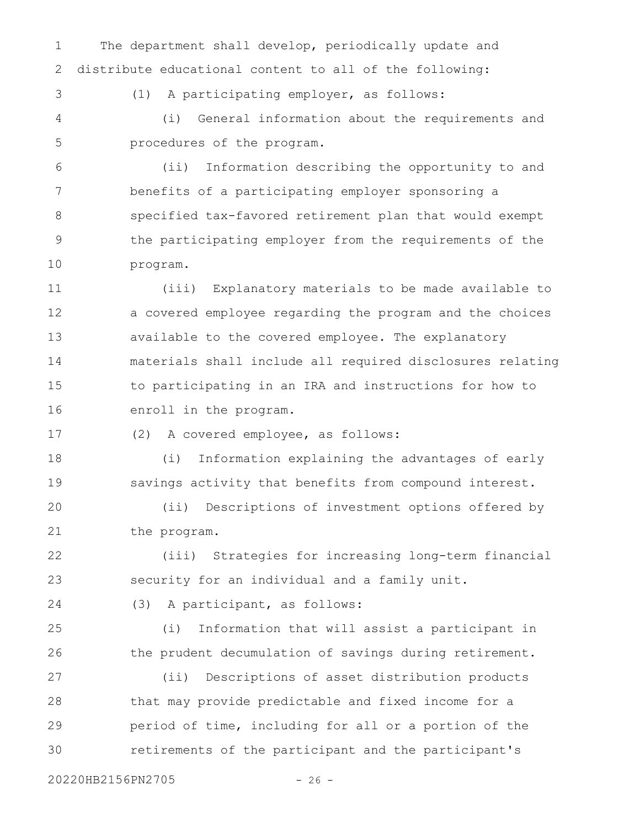The department shall develop, periodically update and distribute educational content to all of the following: 1 2

3

(1) A participating employer, as follows:

(i) General information about the requirements and procedures of the program. 4 5

(ii) Information describing the opportunity to and benefits of a participating employer sponsoring a specified tax-favored retirement plan that would exempt the participating employer from the requirements of the program. 6 7 8 9 10

(iii) Explanatory materials to be made available to a covered employee regarding the program and the choices available to the covered employee. The explanatory materials shall include all required disclosures relating to participating in an IRA and instructions for how to enroll in the program. 11 12 13 14 15 16

(2) A covered employee, as follows: 17

(i) Information explaining the advantages of early savings activity that benefits from compound interest. 18 19

(ii) Descriptions of investment options offered by the program. 20 21

(iii) Strategies for increasing long-term financial security for an individual and a family unit. 22 23

24

(3) A participant, as follows:

(i) Information that will assist a participant in the prudent decumulation of savings during retirement. 25 26

(ii) Descriptions of asset distribution products that may provide predictable and fixed income for a period of time, including for all or a portion of the retirements of the participant and the participant's 27 28 29 30

20220HB2156PN2705 - 26 -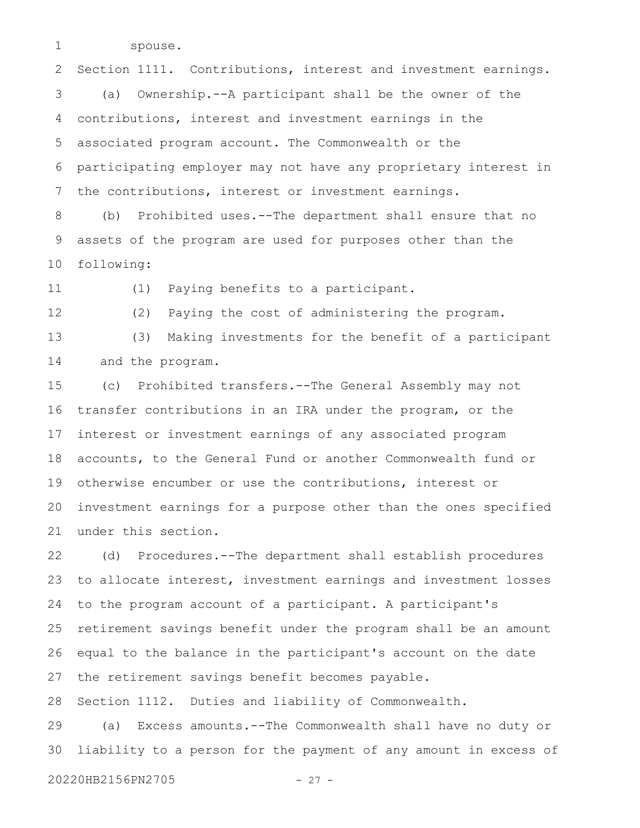spouse.

1

12

13

Section 1111. Contributions, interest and investment earnings. (a) Ownership.--A participant shall be the owner of the contributions, interest and investment earnings in the associated program account. The Commonwealth or the participating employer may not have any proprietary interest in the contributions, interest or investment earnings. 2 3 4 5 6 7

(b) Prohibited uses.--The department shall ensure that no assets of the program are used for purposes other than the following: 8 9 10

(1) Paying benefits to a participant. 11

(2) Paying the cost of administering the program. (3) Making investments for the benefit of a participant

and the program. 14

(c) Prohibited transfers.--The General Assembly may not transfer contributions in an IRA under the program, or the interest or investment earnings of any associated program accounts, to the General Fund or another Commonwealth fund or otherwise encumber or use the contributions, interest or investment earnings for a purpose other than the ones specified under this section. 15 16 17 18 19 20 21

(d) Procedures.--The department shall establish procedures to allocate interest, investment earnings and investment losses to the program account of a participant. A participant's retirement savings benefit under the program shall be an amount equal to the balance in the participant's account on the date the retirement savings benefit becomes payable. 22 23 24 25 26 27

Section 1112. Duties and liability of Commonwealth. 28

(a) Excess amounts.--The Commonwealth shall have no duty or liability to a person for the payment of any amount in excess of 29 30

20220HB2156PN2705 - 27 -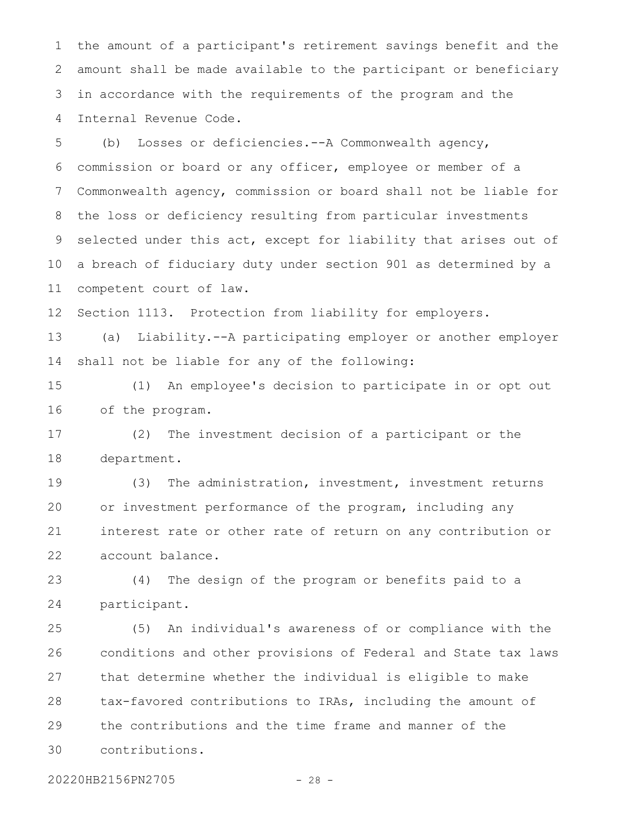the amount of a participant's retirement savings benefit and the amount shall be made available to the participant or beneficiary in accordance with the requirements of the program and the Internal Revenue Code. 1 2 3 4

(b) Losses or deficiencies.--A Commonwealth agency, commission or board or any officer, employee or member of a Commonwealth agency, commission or board shall not be liable for the loss or deficiency resulting from particular investments selected under this act, except for liability that arises out of a breach of fiduciary duty under section 901 as determined by a competent court of law. 5 6 7 8 9 10 11

Section 1113. Protection from liability for employers. 12

(a) Liability.--A participating employer or another employer shall not be liable for any of the following: 13 14

(1) An employee's decision to participate in or opt out of the program. 15 16

(2) The investment decision of a participant or the department. 17 18

(3) The administration, investment, investment returns or investment performance of the program, including any interest rate or other rate of return on any contribution or account balance. 19 20 21 22

(4) The design of the program or benefits paid to a participant. 23 24

(5) An individual's awareness of or compliance with the conditions and other provisions of Federal and State tax laws that determine whether the individual is eligible to make tax-favored contributions to IRAs, including the amount of the contributions and the time frame and manner of the contributions. 25 26 27 28 29 30

20220HB2156PN2705 - 28 -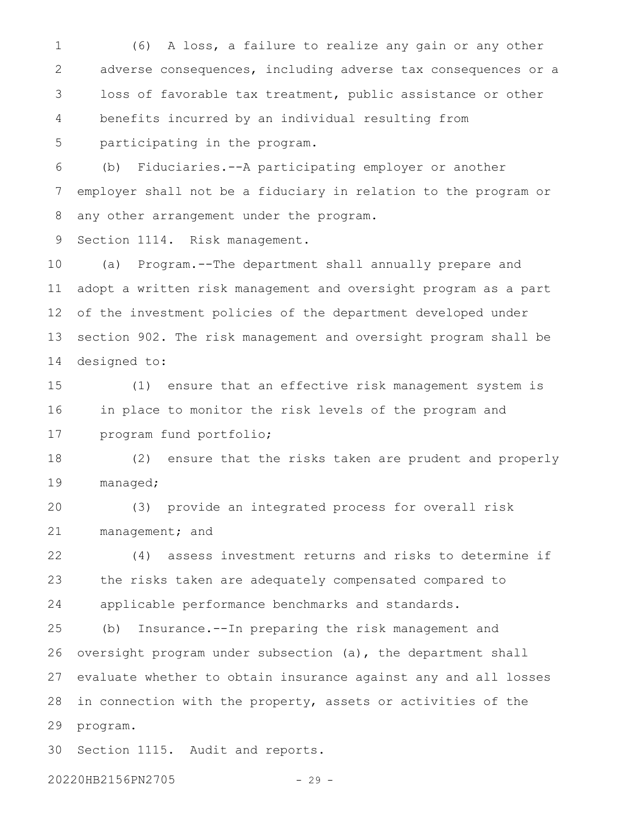(6) A loss, a failure to realize any gain or any other adverse consequences, including adverse tax consequences or a loss of favorable tax treatment, public assistance or other benefits incurred by an individual resulting from participating in the program. 1 2 3 4 5

(b) Fiduciaries.--A participating employer or another employer shall not be a fiduciary in relation to the program or any other arrangement under the program. 6 7 8

Section 1114. Risk management. 9

(a) Program.--The department shall annually prepare and adopt a written risk management and oversight program as a part of the investment policies of the department developed under section 902. The risk management and oversight program shall be designed to: 10 11 12 13 14

(1) ensure that an effective risk management system is in place to monitor the risk levels of the program and program fund portfolio; 15 16 17

(2) ensure that the risks taken are prudent and properly managed; 18 19

(3) provide an integrated process for overall risk management; and 20 21

(4) assess investment returns and risks to determine if the risks taken are adequately compensated compared to applicable performance benchmarks and standards. 22 23 24

(b) Insurance.--In preparing the risk management and oversight program under subsection (a), the department shall evaluate whether to obtain insurance against any and all losses in connection with the property, assets or activities of the program. 25 26 27 28 29

Section 1115. Audit and reports. 30

20220HB2156PN2705 - 29 -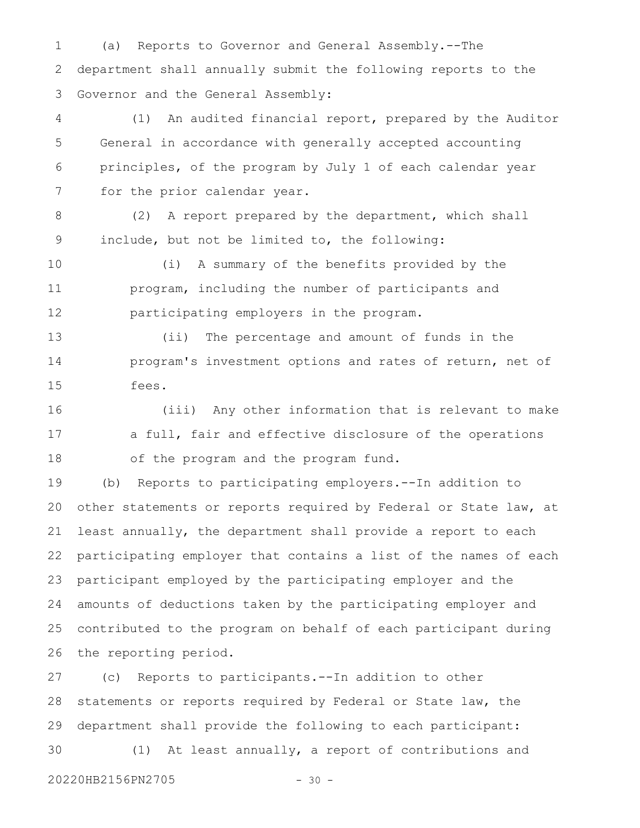(a) Reports to Governor and General Assembly.--The department shall annually submit the following reports to the Governor and the General Assembly: 1 2 3

(1) An audited financial report, prepared by the Auditor General in accordance with generally accepted accounting principles, of the program by July 1 of each calendar year for the prior calendar year. 4 5 6 7

(2) A report prepared by the department, which shall include, but not be limited to, the following: 8 9

(i) A summary of the benefits provided by the program, including the number of participants and participating employers in the program. 10 11 12

(ii) The percentage and amount of funds in the program's investment options and rates of return, net of fees. 13 14 15

(iii) Any other information that is relevant to make a full, fair and effective disclosure of the operations of the program and the program fund. 16 17 18

(b) Reports to participating employers.--In addition to other statements or reports required by Federal or State law, at least annually, the department shall provide a report to each participating employer that contains a list of the names of each participant employed by the participating employer and the amounts of deductions taken by the participating employer and contributed to the program on behalf of each participant during the reporting period. 19 20 21 22 23 24 25 26

(c) Reports to participants.--In addition to other statements or reports required by Federal or State law, the department shall provide the following to each participant: (1) At least annually, a report of contributions and 27 28 29 30

20220HB2156PN2705 - 30 -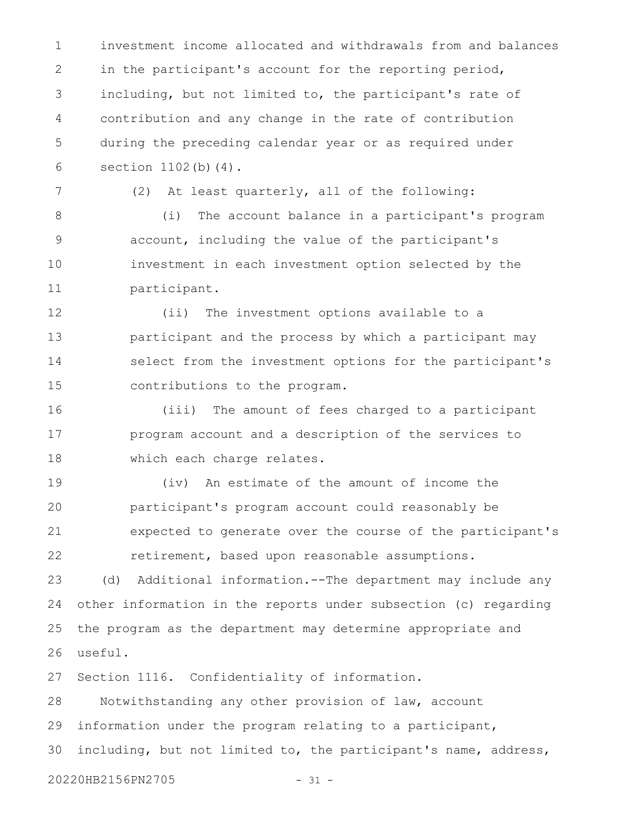investment income allocated and withdrawals from and balances in the participant's account for the reporting period, including, but not limited to, the participant's rate of contribution and any change in the rate of contribution during the preceding calendar year or as required under section 1102(b)(4). 1 2 3 4 5 6

7

(2) At least quarterly, all of the following:

(i) The account balance in a participant's program account, including the value of the participant's investment in each investment option selected by the participant. 8 9 10 11

(ii) The investment options available to a participant and the process by which a participant may select from the investment options for the participant's contributions to the program. 12 13 14 15

(iii) The amount of fees charged to a participant program account and a description of the services to which each charge relates. 16 17 18

(iv) An estimate of the amount of income the participant's program account could reasonably be expected to generate over the course of the participant's retirement, based upon reasonable assumptions. 19 20 21 22

(d) Additional information.--The department may include any other information in the reports under subsection (c) regarding the program as the department may determine appropriate and useful. 23 24 25 26

Section 1116. Confidentiality of information. 27

Notwithstanding any other provision of law, account information under the program relating to a participant, including, but not limited to, the participant's name, address, 20220HB2156PN2705 - 31 -28 29 30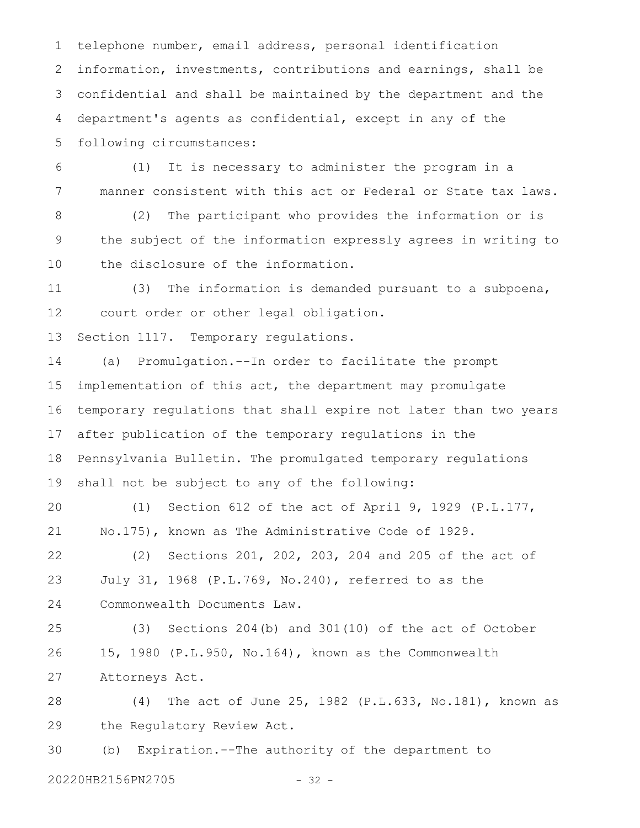telephone number, email address, personal identification information, investments, contributions and earnings, shall be confidential and shall be maintained by the department and the department's agents as confidential, except in any of the following circumstances: 1 2 3 4 5

(1) It is necessary to administer the program in a manner consistent with this act or Federal or State tax laws. 6 7

(2) The participant who provides the information or is the subject of the information expressly agrees in writing to the disclosure of the information. 8 9 10

(3) The information is demanded pursuant to a subpoena, court order or other legal obligation. 11 12

Section 1117. Temporary regulations. 13

(a) Promulgation.--In order to facilitate the prompt implementation of this act, the department may promulgate temporary regulations that shall expire not later than two years after publication of the temporary regulations in the Pennsylvania Bulletin. The promulgated temporary regulations shall not be subject to any of the following: 14 15 16 17 18 19

(1) Section 612 of the act of April 9, 1929 (P.L.177, No.175), known as The Administrative Code of 1929. 20 21

(2) Sections 201, 202, 203, 204 and 205 of the act of July 31, 1968 (P.L.769, No.240), referred to as the Commonwealth Documents Law. 22 23 24

(3) Sections 204(b) and 301(10) of the act of October 15, 1980 (P.L.950, No.164), known as the Commonwealth Attorneys Act. 25 26 27

(4) The act of June 25, 1982 (P.L.633, No.181), known as the Regulatory Review Act. 28 29

(b) Expiration.--The authority of the department to 30

20220HB2156PN2705 - 32 -